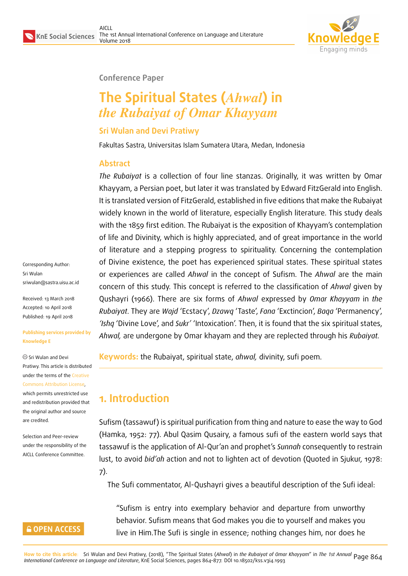

#### **Conference Paper**

# **The Spiritual States (***Ahwal***) in** *the Rubaiyat of Omar Khayyam*

#### **Sri Wulan and Devi Pratiwy**

Fakultas Sastra, Universitas Islam Sumatera Utara, Medan, Indonesia

#### **Abstract**

*The Rubaiyat* is a collection of four line stanzas. Originally, it was written by Omar Khayyam, a Persian poet, but later it was translated by Edward FitzGerald into English. It is translated version of FitzGerald, established in five editions that make the Rubaiyat widely known in the world of literature, especially English literature. This study deals with the 1859 first edition. The Rubaiyat is the exposition of Khayyam's contemplation of life and Divinity, which is highly appreciated, and of great importance in the world of literature and a stepping progress to spirituality. Concerning the contemplation of Divine existence, the poet has experienced spiritual states. These spiritual states or experiences are called *Ahwal* in the concept of Sufism. The *Ahwal* are the main concern of this study. This concept is referred to the classification of *Ahwal* given by Qushayri (1966). There are six forms of *Ahwal* expressed by *Omar Khayyam* in *the Rubaiyat*. They are *Wajd* 'Ecstacy', *Dzawq* 'Taste', *Fana* 'Exctincion', *Baqa* 'Permanency', *'Ishq* 'Divine Love', and *Sukr'* 'Intoxication'. Then, it is found that the six spiritual states, *Ahwal,* are undergone by Omar khayam and they are replected through his *Rubaiyat.*

**Keywords:** the Rubaiyat, spiritual state, *ahwal,* divinity, sufi poem.

# **1. Introduction**

Sufism (tassawuf) is spiritual purification from thing and nature to ease the way to God (Hamka, 1952: 77). Abul Qasim Qusairy, a famous sufi of the eastern world says that tassawuf is the application of Al-Qur'an and prophet's *Sunnah* consequently to restrain lust, to avoid *bid'ah* action and not to lighten act of devotion (Quoted in Sjukur, 1978: 7).

The Sufi commentator, Al-Qushayri gives a beautiful description of the Sufi ideal:

"Sufism is entry into exemplary behavior and departure from unworthy behavior. Sufism means that God makes you die to yourself and makes you live in Him.The Sufi is single in essence; nothing changes him, nor does he

Corresponding Author: Sri Wulan sriwulan@sastra.uisu.ac.id

Received: 13 March 2018 Accepted: 10 April 2018 [Published: 19 April 2018](mailto:sriwulan@sastra.uisu.ac.id)

#### **Publishing services provided by Knowledge E**

Sri Wulan and Devi Pratiwy. This article is distributed under the terms of the Creative Commons Attribution License,

which permits unrestricted use and redistribution provided that the original author and [source](https://creativecommons.org/licenses/by/4.0/) [are credited.](https://creativecommons.org/licenses/by/4.0/)

Selection and Peer-review under the responsibility of the AICLL Conference Committee.

#### **GOPEN ACCESS**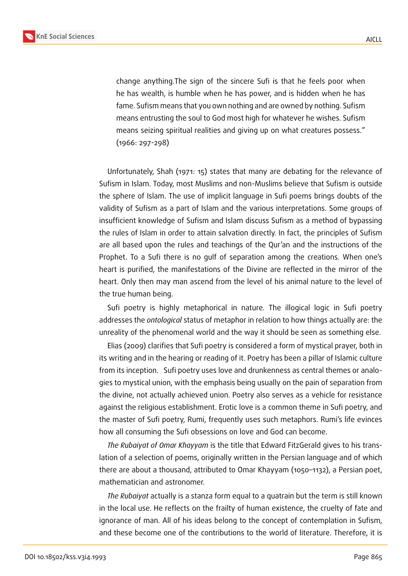

change anything.The sign of the sincere Sufi is that he feels poor when he has wealth, is humble when he has power, and is hidden when he has fame. Sufism means that you own nothing and are owned by nothing. Sufism means entrusting the soul to God most high for whatever he wishes. Sufism means seizing spiritual realities and giving up on what creatures possess." (1966: 297-298)

Unfortunately, Shah (1971: 15) states that many are debating for the relevance of Sufism in Islam. Today, most Muslims and non-Muslims believe that Sufism is outside the sphere of Islam. The use of implicit language in Sufi poems brings doubts of the validity of Sufism as a part of Islam and the various interpretations. Some groups of insufficient knowledge of Sufism and Islam discuss Sufism as a method of bypassing the rules of Islam in order to attain salvation directly. In fact, the principles of Sufism are all based upon the rules and teachings of the Qur'an and the instructions of the Prophet. To a Sufi there is no gulf of separation among the creations. When one's heart is purified, the manifestations of the Divine are reflected in the mirror of the heart. Only then may man ascend from the level of his animal nature to the level of the true human being.

Sufi poetry is highly metaphorical in nature. The illogical logic in Sufi poetry addresses the *ontological* status of metaphor in relation to how things actually are: the unreality of the phenomenal world and the way it should be seen as something else.

Elias (2009) clarifies that Sufi poetry is considered a form of mystical prayer, both in its writing and in the hearing or reading of it. Poetry has been a pillar of Islamic culture from its inception. Sufi poetry uses love and drunkenness as central themes or analogies to mystical union, with the emphasis being usually on the pain of separation from the divine, not actually achieved union. Poetry also serves as a vehicle for resistance against the religious establishment. Erotic love is a common theme in Sufi poetry, and the master of Sufi poetry, Rumi, frequently uses such metaphors. Rumi's life evinces how all consuming the Sufi obsessions on love and God can become.

*The Rubaiyat of Omar Khayyam* is the title that Edward FitzGerald gives to his translation of a selection of poems, originally written in the Persian language and of which there are about a thousand, attributed to Omar Khayyam (1050–1132), a Persian poet, mathematician and astronomer.

*The Rubaiyat* actually is a stanza form equal to a quatrain but the term is still known in the local use. He reflects on the frailty of human existence, the cruelty of fate and ignorance of man. All of his ideas belong to the concept of contemplation in Sufism, and these become one of the contributions to the world of literature. Therefore, it is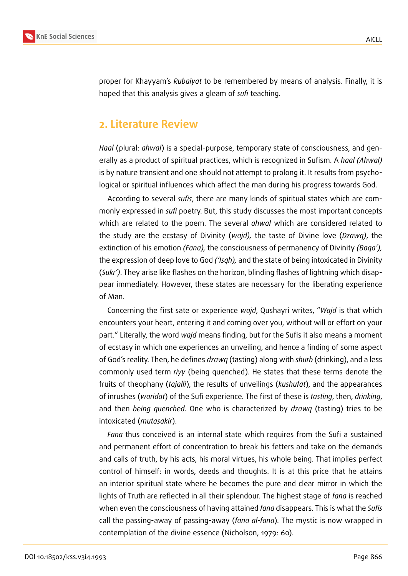

proper for Khayyam's *Rubaiyat* to be remembered by means of analysis. Finally, it is hoped that this analysis gives a gleam of *sufi* teaching.

### **2. Literature Review**

*Haal* (plural: *ahwal*) is a special-purpose, temporary state of consciousness, and generally as a product of spiritual practices, which is recognized in Sufism. A *haal (Ahwal)* is by nature transient and one should not attempt to prolong it. It results from psychological or spiritual influences which affect the man during his progress towards God.

According to several *sufis*, there are many kinds of spiritual states which are commonly expressed in *sufi* poetry. But, this study discusses the most important concepts which are related to the poem. The several *ahwal* which are considered related to the study are the ecstasy of Divinity (*wajd),* the taste of Divine love (*Dzawq)*, the extinction of his emotion *(Fana),* the consciousness of permanency of Divinity *(Baqa'),* the expression of deep love to God *('Isqh),* and the state of being intoxicated in Divinity (*Sukr')*. They arise like flashes on the horizon, blinding flashes of lightning which disappear immediately. However, these states are necessary for the liberating experience of Man.

Concerning the first sate or experience *wajd*, Qushayri writes, "*Wajd* is that which encounters your heart, entering it and coming over you, without will or effort on your part." Literally, the word *wajd* means finding, but for the Sufis it also means a moment of ecstasy in which one experiences an unveiling, and hence a finding of some aspect of God's reality. Then, he defines *dzawq* (tasting) along with *shurb* (drinking), and a less commonly used term *riyy* (being quenched). He states that these terms denote the fruits of theophany (*tajalli*), the results of unveilings (*kushufat*), and the appearances of inrushes (*waridat*) of the Sufi experience. The first of these is *tasting*, then, *drinking*, and then *being quenched*. One who is characterized by *dzawq* (tasting) tries to be intoxicated (*mutasakir*).

*Fana* thus conceived is an internal state which requires from the Sufi a sustained and permanent effort of concentration to break his fetters and take on the demands and calls of truth, by his acts, his moral virtues, his whole being. That implies perfect control of himself: in words, deeds and thoughts. It is at this price that he attains an interior spiritual state where he becomes the pure and clear mirror in which the lights of Truth are reflected in all their splendour. The highest stage of *fana* is reached when even the consciousness of having attained *fana* disappears. This is what the *Sufis* call the passing-away of passing-away (*fana al-fana*). The mystic is now wrapped in contemplation of the divine essence (Nicholson, 1979: 60).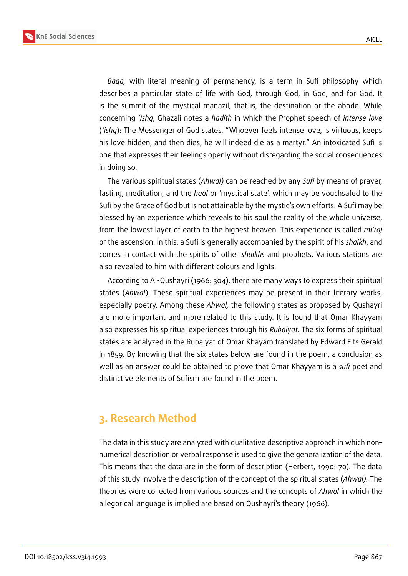

*Baqa,* with literal meaning of permanency, is a term in Sufi philosophy which describes a particular state of life with God, through God, in God, and for God. It is the summit of the mystical manazil, that is, the destination or the abode. While concerning *'Ishq*, Ghazali notes a *hadith* in which the Prophet speech of *intense love* (*'ishq*): The Messenger of God states, "Whoever feels intense love, is virtuous, keeps his love hidden, and then dies, he will indeed die as a martyr." An intoxicated Sufi is one that expresses their feelings openly without disregarding the social consequences in doing so.

The various spiritual states (*Ahwal)* can be reached by any *Sufi* by means of prayer, fasting, meditation, and the *haal* or 'mystical state', which may be vouchsafed to the Sufi by the Grace of God but is not attainable by the mystic's own efforts. A Sufi may be blessed by an experience which reveals to his soul the reality of the whole universe, from the lowest layer of earth to the highest heaven. This experience is called *mi'raj* or the ascension. In this, a Sufi is generally accompanied by the spirit of his *shaikh*, and comes in contact with the spirits of other *shaikhs* and prophets. Various stations are also revealed to him with different colours and lights.

According to Al-Qushayri (1966: 304), there are many ways to express their spiritual states (*Ahwal*). These spiritual experiences may be present in their literary works, especially poetry. Among these *Ahwal,* the following states as proposed by Qushayri are more important and more related to this study. It is found that Omar Khayyam also expresses his spiritual experiences through his *Rubaiyat*. The six forms of spiritual states are analyzed in the Rubaiyat of Omar Khayam translated by Edward Fits Gerald in 1859. By knowing that the six states below are found in the poem, a conclusion as well as an answer could be obtained to prove that Omar Khayyam is a *sufi* poet and distinctive elements of Sufism are found in the poem.

#### **3. Research Method**

The data in this study are analyzed with qualitative descriptive approach in which non– numerical description or verbal response is used to give the generalization of the data. This means that the data are in the form of description (Herbert, 1990: 70). The data of this study involve the description of the concept of the spiritual states (*Ahwal).* The theories were collected from various sources and the concepts of *Ahwal* in which the allegorical language is implied are based on Qushayri's theory (1966).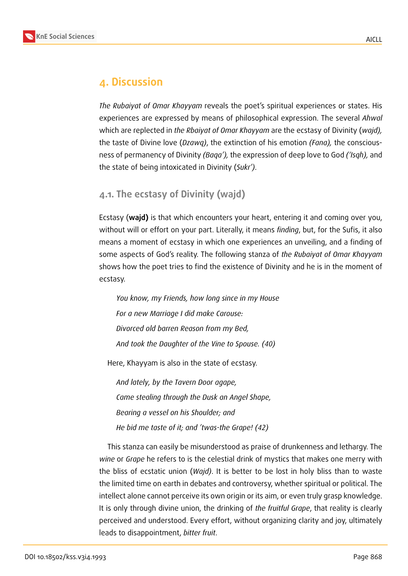

#### **4. Discussion**

*The Rubaiyat of Omar Khayyam* reveals the poet's spiritual experiences or states. His experiences are expressed by means of philosophical expression. The several *Ahwal* which are replected in *the Rbaiyat of Omar Khayyam* are the ecstasy of Divinity (*wajd),* the taste of Divine love (*Dzawq)*, the extinction of his emotion *(Fana),* the consciousness of permanency of Divinity *(Baqa'),* the expression of deep love to God *('Isqh),* and the state of being intoxicated in Divinity (*Sukr')*.

#### **4.1. The ecstasy of Divinity (wajd)**

Ecstasy (**wajd)** is that which encounters your heart, entering it and coming over you, without will or effort on your part. Literally, it means *finding*, but, for the Sufis, it also means a moment of ecstasy in which one experiences an unveiling, and a finding of some aspects of God's reality. The following stanza of *the Rubaiyat of Omar Khayyam* shows how the poet tries to find the existence of Divinity and he is in the moment of ecstasy.

*You know, my Friends, how long since in my House For a new Marriage I did make Carouse: Divorced old barren Reason from my Bed, And took the Daughter of the Vine to Spouse. (40)*

Here, Khayyam is also in the state of ecstasy.

*And lately, by the Tavern Door agape, Came stealing through the Dusk an Angel Shape, Bearing a vessel on his Shoulder; and He bid me taste of it; and 'twas-the Grape! (42)*

This stanza can easily be misunderstood as praise of drunkenness and lethargy. The *wine* or *Grape* he refers to is the celestial drink of mystics that makes one merry with the bliss of ecstatic union (*Wajd)*. It is better to be lost in holy bliss than to waste the limited time on earth in debates and controversy, whether spiritual or political. The intellect alone cannot perceive its own origin or its aim, or even truly grasp knowledge. It is only through divine union, the drinking of *the fruitful Grape*, that reality is clearly perceived and understood. Every effort, without organizing clarity and joy, ultimately leads to disappointment, *bitter fruit*.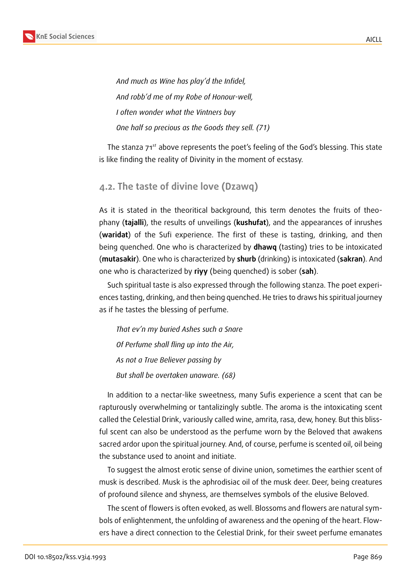

*And much as Wine has play'd the Infidel, And robb'd me of my Robe of Honour-well, I often wonder what the Vintners buy One half so precious as the Goods they sell. (71)*

The stanza 71<sup>st</sup> above represents the poet's feeling of the God's blessing. This state is like finding the reality of Divinity in the moment of ecstasy.

#### **4.2. The taste of divine love (Dzawq)**

As it is stated in the theoritical background, this term denotes the fruits of theophany (**tajalli**), the results of unveilings (**kushufat**), and the appearances of inrushes (**waridat**) of the Sufi experience. The first of these is tasting, drinking, and then being quenched. One who is characterized by **dhawq** (tasting) tries to be intoxicated (**mutasakir**). One who is characterized by **shurb** (drinking) is intoxicated (**sakran**). And one who is characterized by **riyy** (being quenched) is sober (**sah**).

Such spiritual taste is also expressed through the following stanza. The poet experiences tasting, drinking, and then being quenched. He tries to draws his spiritual journey as if he tastes the blessing of perfume.

*That ev'n my buried Ashes such a Snare Of Perfume shall fling up into the Air, As not a True Believer passing by But shall be overtaken unaware. (68)*

In addition to a nectar-like sweetness, many Sufis experience a scent that can be rapturously overwhelming or tantalizingly subtle. The aroma is the intoxicating scent called the Celestial Drink, variously called wine, amrita, rasa, dew, honey. But this blissful scent can also be understood as the perfume worn by the Beloved that awakens sacred ardor upon the spiritual journey. And, of course, perfume is scented oil, oil being the substance used to anoint and initiate.

To suggest the almost erotic sense of divine union, sometimes the earthier scent of musk is described. Musk is the aphrodisiac oil of the musk deer. Deer, being creatures of profound silence and shyness, are themselves symbols of the elusive Beloved.

The scent of flowers is often evoked, as well. Blossoms and flowers are natural symbols of enlightenment, the unfolding of awareness and the opening of the heart. Flowers have a direct connection to the Celestial Drink, for their sweet perfume emanates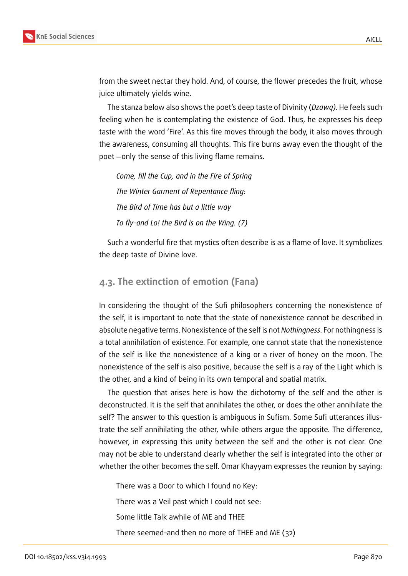

from the sweet nectar they hold. And, of course, the flower precedes the fruit, whose juice ultimately yields wine.

The stanza below also shows the poet's deep taste of Divinity (*Dzawq).* He feels such feeling when he is contemplating the existence of God. Thus, he expresses his deep taste with the word 'Fire'. As this fire moves through the body, it also moves through the awareness, consuming all thoughts. This fire burns away even the thought of the poet −only the sense of this living flame remains.

*Come, fill the Cup, and in the Fire of Spring The Winter Garment of Repentance fling: The Bird of Time has but a little way To fly–and Lo! the Bird is on the Wing. (7)*

Such a wonderful fire that mystics often describe is as a flame of love. It symbolizes the deep taste of Divine love.

#### **4.3. The extinction of emotion (Fana)**

In considering the thought of the Sufi philosophers concerning the nonexistence of the self, it is important to note that the state of nonexistence cannot be described in absolute negative terms. Nonexistence of the self is not *Nothingness*. For nothingness is a total annihilation of existence. For example, one cannot state that the nonexistence of the self is like the nonexistence of a king or a river of honey on the moon. The nonexistence of the self is also positive, because the self is a ray of the Light which is the other, and a kind of being in its own temporal and spatial matrix.

The question that arises here is how the dichotomy of the self and the other is deconstructed. It is the self that annihilates the other, or does the other annihilate the self? The answer to this question is ambiguous in Sufism. Some Sufi utterances illustrate the self annihilating the other, while others argue the opposite. The difference, however, in expressing this unity between the self and the other is not clear. One may not be able to understand clearly whether the self is integrated into the other or whether the other becomes the self. Omar Khayyam expresses the reunion by saying:

There was a Door to which I found no Key:

There was a Veil past which I could not see:

Some little Talk awhile of ME and THEE

There seemed–and then no more of THEE and ME (32)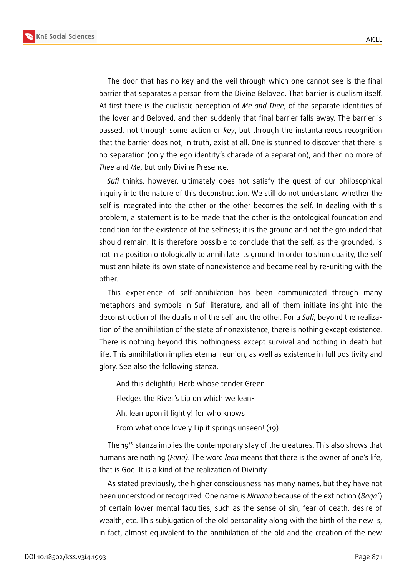**KnE Social Sciences**



The door that has no key and the veil through which one cannot see is the final barrier that separates a person from the Divine Beloved. That barrier is dualism itself. At first there is the dualistic perception of *Me and Thee*, of the separate identities of the lover and Beloved, and then suddenly that final barrier falls away. The barrier is passed, not through some action or *key*, but through the instantaneous recognition that the barrier does not, in truth, exist at all. One is stunned to discover that there is no separation (only the ego identity's charade of a separation), and then no more of *Thee* and *Me*, but only Divine Presence.

*Sufi* thinks, however, ultimately does not satisfy the quest of our philosophical inquiry into the nature of this deconstruction. We still do not understand whether the self is integrated into the other or the other becomes the self. In dealing with this problem, a statement is to be made that the other is the ontological foundation and condition for the existence of the selfness; it is the ground and not the grounded that should remain. It is therefore possible to conclude that the self, as the grounded, is not in a position ontologically to annihilate its ground. In order to shun duality, the self must annihilate its own state of nonexistence and become real by re-uniting with the other.

This experience of self-annihilation has been communicated through many metaphors and symbols in Sufi literature, and all of them initiate insight into the deconstruction of the dualism of the self and the other. For a *Sufi*, beyond the realization of the annihilation of the state of nonexistence, there is nothing except existence. There is nothing beyond this nothingness except survival and nothing in death but life. This annihilation implies eternal reunion, as well as existence in full positivity and glory. See also the following stanza.

And this delightful Herb whose tender Green

Fledges the River's Lip on which we lean-

Ah, lean upon it lightly! for who knows

From what once lovely Lip it springs unseen! (19)

The  $19<sup>th</sup>$  stanza implies the contemporary stay of the creatures. This also shows that humans are nothing (*Fana)*. The word *lean* means that there is the owner of one's life, that is God. It is a kind of the realization of Divinity.

As stated previously, the higher consciousness has many names, but they have not been understood or recognized. One name is *Nirvana* because of the extinction (*Baqa'*) of certain lower mental faculties, such as the sense of sin, fear of death, desire of wealth, etc. This subjugation of the old personality along with the birth of the new is, in fact, almost equivalent to the annihilation of the old and the creation of the new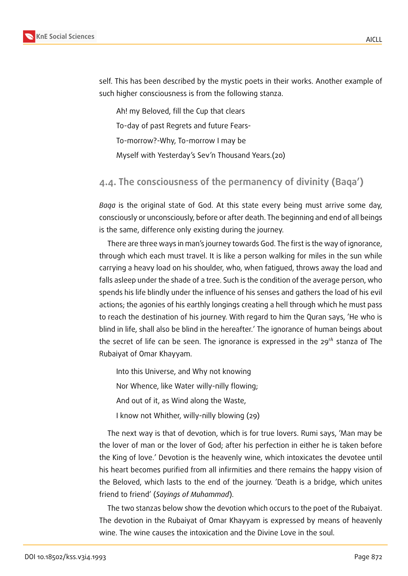

self. This has been described by the mystic poets in their works. Another example of such higher consciousness is from the following stanza.

Ah! my Beloved, fill the Cup that clears To-day of past Regrets and future Fears-To-morrow?-Why, To-morrow I may be Myself with Yesterday's Sev'n Thousand Years.(20)

#### **4.4. The consciousness of the permanency of divinity (Baqa')**

*Baqa* is the original state of God. At this state every being must arrive some day, consciously or unconsciously, before or after death. The beginning and end of all beings is the same, difference only existing during the journey.

There are three ways in man's journey towards God. The first is the way of ignorance, through which each must travel. It is like a person walking for miles in the sun while carrying a heavy load on his shoulder, who, when fatigued, throws away the load and falls asleep under the shade of a tree. Such is the condition of the average person, who spends his life blindly under the influence of his senses and gathers the load of his evil actions; the agonies of his earthly longings creating a hell through which he must pass to reach the destination of his journey. With regard to him the Quran says, 'He who is blind in life, shall also be blind in the hereafter.' The ignorance of human beings about the secret of life can be seen. The ignorance is expressed in the  $29<sup>th</sup>$  stanza of The Rubaiyat of Omar Khayyam.

Into this Universe, and Why not knowing

Nor Whence, like Water willy-nilly flowing;

And out of it, as Wind along the Waste,

I know not Whither, willy-nilly blowing (29)

The next way is that of devotion, which is for true lovers. Rumi says, 'Man may be the lover of man or the lover of God; after his perfection in either he is taken before the King of love.' Devotion is the heavenly wine, which intoxicates the devotee until his heart becomes purified from all infirmities and there remains the happy vision of the Beloved, which lasts to the end of the journey. 'Death is a bridge, which unites friend to friend' (*Sayings of Muhammad*).

The two stanzas below show the devotion which occurs to the poet of the Rubaiyat. The devotion in the Rubaiyat of Omar Khayyam is expressed by means of heavenly wine. The wine causes the intoxication and the Divine Love in the soul.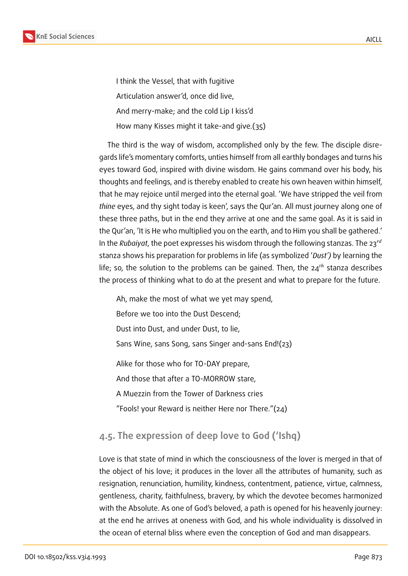

I think the Vessel, that with fugitive Articulation answer'd, once did live, And merry-make; and the cold Lip I kiss'd How many Kisses might it take-and give.(35)

The third is the way of wisdom, accomplished only by the few. The disciple disregards life's momentary comforts, unties himself from all earthly bondages and turns his eyes toward God, inspired with divine wisdom. He gains command over his body, his thoughts and feelings, and is thereby enabled to create his own heaven within himself, that he may rejoice until merged into the eternal goal. 'We have stripped the veil from *thine* eyes, and thy sight today is keen', says the Qur'an. All must journey along one of these three paths, but in the end they arrive at one and the same goal. As it is said in the Qur'an, 'It is He who multiplied you on the earth, and to Him you shall be gathered.' In the *Rubaiyat*, the poet expresses his wisdom through the following stanzas. The 23 stanza shows his preparation for problems in life (as symbolized '*Dust')* by learning the life; so, the solution to the problems can be gained. Then, the  $24<sup>th</sup>$  stanza describes the process of thinking what to do at the present and what to prepare for the future.

Ah, make the most of what we yet may spend, Before we too into the Dust Descend; Dust into Dust, and under Dust, to lie, Sans Wine, sans Song, sans Singer and-sans End!(23)

Alike for those who for TO-DAY prepare,

And those that after a TO-MORROW stare,

A Muezzin from the Tower of Darkness cries

"Fools! your Reward is neither Here nor There."(24)

#### **4.5. The expression of deep love to God ('Ishq)**

Love is that state of mind in which the consciousness of the lover is merged in that of the object of his love; it produces in the lover all the attributes of humanity, such as resignation, renunciation, humility, kindness, contentment, patience, virtue, calmness, gentleness, charity, faithfulness, bravery, by which the devotee becomes harmonized with the Absolute. As one of God's beloved, a path is opened for his heavenly journey: at the end he arrives at oneness with God, and his whole individuality is dissolved in the ocean of eternal bliss where even the conception of God and man disappears.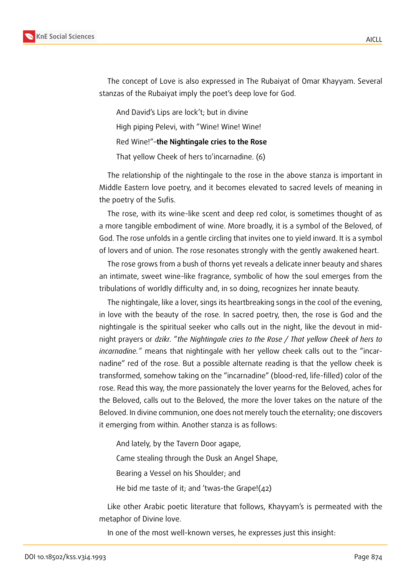

The concept of Love is also expressed in The Rubaiyat of Omar Khayyam. Several stanzas of the Rubaiyat imply the poet's deep love for God.

And David's Lips are lock't; but in divine High piping Pelevi, with "Wine! Wine! Wine! Red Wine!"–**the Nightingale cries to the Rose** That yellow Cheek of hers to'incarnadine. (6)

The relationship of the nightingale to the rose in the above stanza is important in Middle Eastern love poetry, and it becomes elevated to sacred levels of meaning in the poetry of the Sufis.

The rose, with its wine-like scent and deep red color, is sometimes thought of as a more tangible embodiment of wine. More broadly, it is a symbol of the Beloved, of God. The rose unfolds in a gentle circling that invites one to yield inward. It is a symbol of lovers and of union. The rose resonates strongly with the gently awakened heart.

The rose grows from a bush of thorns yet reveals a delicate inner beauty and shares an intimate, sweet wine-like fragrance, symbolic of how the soul emerges from the tribulations of worldly difficulty and, in so doing, recognizes her innate beauty.

The nightingale, like a lover, sings its heartbreaking songs in the cool of the evening, in love with the beauty of the rose. In sacred poetry, then, the rose is God and the nightingale is the spiritual seeker who calls out in the night, like the devout in midnight prayers or *dzikr.* "*the Nightingale cries to the Rose / That yellow Cheek of hers to incarnadine."* means that nightingale with her yellow cheek calls out to the "incarnadine" red of the rose. But a possible alternate reading is that the yellow cheek is transformed, somehow taking on the "incarnadine" (blood-red, life-filled) color of the rose. Read this way, the more passionately the lover yearns for the Beloved, aches for the Beloved, calls out to the Beloved, the more the lover takes on the nature of the Beloved. In divine communion, one does not merely touch the eternality; one discovers it emerging from within. Another stanza is as follows:

And lately, by the Tavern Door agape,

Came stealing through the Dusk an Angel Shape,

Bearing a Vessel on his Shoulder; and

He bid me taste of it; and 'twas-the Grape!(42)

Like other Arabic poetic literature that follows, Khayyam's is permeated with the metaphor of Divine love.

In one of the most well-known verses, he expresses just this insight: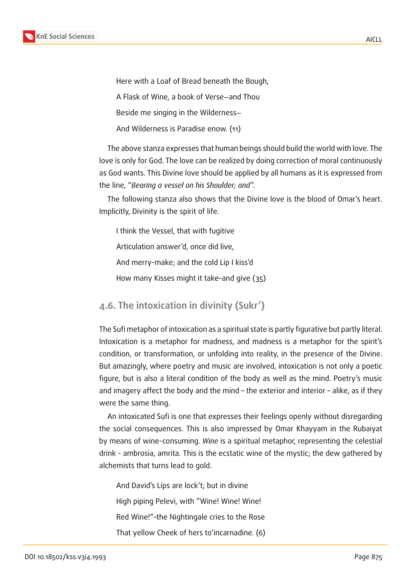

Here with a Loaf of Bread beneath the Bough, A Flask of Wine, a book of Verse−and Thou Beside me singing in the Wilderness− And Wilderness is Paradise enow. (11)

The above stanza expresses that human beings should build the world with love. The love is only for God. The love can be realized by doing correction of moral continuously as God wants. This Divine love should be applied by all humans as it is expressed from the line, "*Bearing a vessel on his Shoulder; and".*

The following stanza also shows that the Divine love is the blood of Omar's heart. Implicitly, Divinity is the spirit of life.

I think the Vessel, that with fugitive

Articulation answer'd, once did live,

And merry-make; and the cold Lip I kiss'd

How many Kisses might it take–and give (35)

#### **4.6. The intoxication in divinity (Sukr')**

The Sufi metaphor of intoxication as a spiritual state is partly figurative but partly literal. Intoxication is a metaphor for madness, and madness is a metaphor for the spirit's condition, or transformation, or unfolding into reality, in the presence of the Divine. But amazingly, where poetry and music are involved, intoxication is not only a poetic figure, but is also a literal condition of the body as well as the mind. Poetry's music and imagery affect the body and the mind – the exterior and interior – alike, as if they were the same thing.

An intoxicated Sufi is one that expresses their feelings openly without disregarding the social consequences. This is also impressed by Omar Khayyam in the Rubaiyat by means of wine-consuming. *Wine* is a spiritual metaphor, representing the celestial drink - ambrosia, amrita. This is the ecstatic wine of the mystic; the dew gathered by alchemists that turns lead to gold.

And David's Lips are lock't; but in divine High piping Pelevi, with "Wine! Wine! Wine! Red Wine!"–the Nightingale cries to the Rose That yellow Cheek of hers to'incarnadine. (6)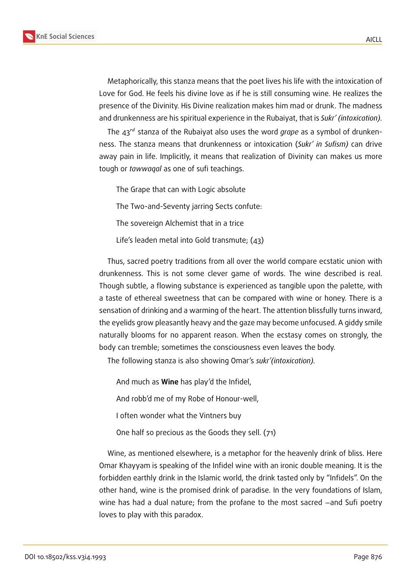

Metaphorically, this stanza means that the poet lives his life with the intoxication of Love for God. He feels his divine love as if he is still consuming wine. He realizes the presence of the Divinity. His Divine realization makes him mad or drunk. The madness and drunkenness are his spiritual experience in the Rubaiyat, that is *Sukr' (intoxication).*

The 43<sup>rd</sup> stanza of the Rubaiyat also uses the word *grape* as a symbol of drunkenness. The stanza means that drunkenness or intoxication (*Sukr' in Sufism)* can drive away pain in life. Implicitly, it means that realization of Divinity can makes us more tough or *tawwaqal* as one of sufi teachings.

The Grape that can with Logic absolute The Two-and-Seventy jarring Sects confute: The sovereign Alchemist that in a trice Life's leaden metal into Gold transmute; (43)

Thus, sacred poetry traditions from all over the world compare ecstatic union with drunkenness. This is not some clever game of words. The wine described is real. Though subtle, a flowing substance is experienced as tangible upon the palette, with a taste of ethereal sweetness that can be compared with wine or honey. There is a sensation of drinking and a warming of the heart. The attention blissfully turns inward, the eyelids grow pleasantly heavy and the gaze may become unfocused. A giddy smile naturally blooms for no apparent reason. When the ecstasy comes on strongly, the body can tremble; sometimes the consciousness even leaves the body.

The following stanza is also showing Omar's *sukr'(intoxication).*

And much as **Wine** has play'd the Infidel, And robb'd me of my Robe of Honour-well, I often wonder what the Vintners buy One half so precious as the Goods they sell. (71)

Wine, as mentioned elsewhere, is a metaphor for the heavenly drink of bliss. Here Omar Khayyam is speaking of the Infidel wine with an ironic double meaning. It is the forbidden earthly drink in the Islamic world, the drink tasted only by "Infidels". On the other hand, wine is the promised drink of paradise. In the very foundations of Islam, wine has had a dual nature; from the profane to the most sacred –and Sufi poetry loves to play with this paradox.